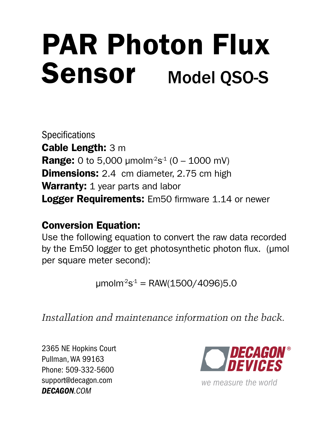# PAR Photon Flux Sensor Model QSO-S

**Specifications** Cable Length: 3 m **Range:** 0 to 5,000 umolm<sup>2</sup>s<sup>1</sup> (0 – 1000 mV) **Dimensions:** 2.4 cm diameter, 2.75 cm high Warranty: 1 year parts and labor **Logger Requirements:** Em50 firmware 1.14 or newer

### Conversion Equation:

Use the following equation to convert the raw data recorded by the Em50 logger to get photosynthetic photon flux. (µmol per square meter second):

 $umolm<sup>2</sup>s<sup>-1</sup> = RAW(1500/4096)5.0$ 

*Installation and maintenance information on the back.*

Phone: 509-332-5600 support@decagon.com *DECAGON.COM*



*we measure the world*